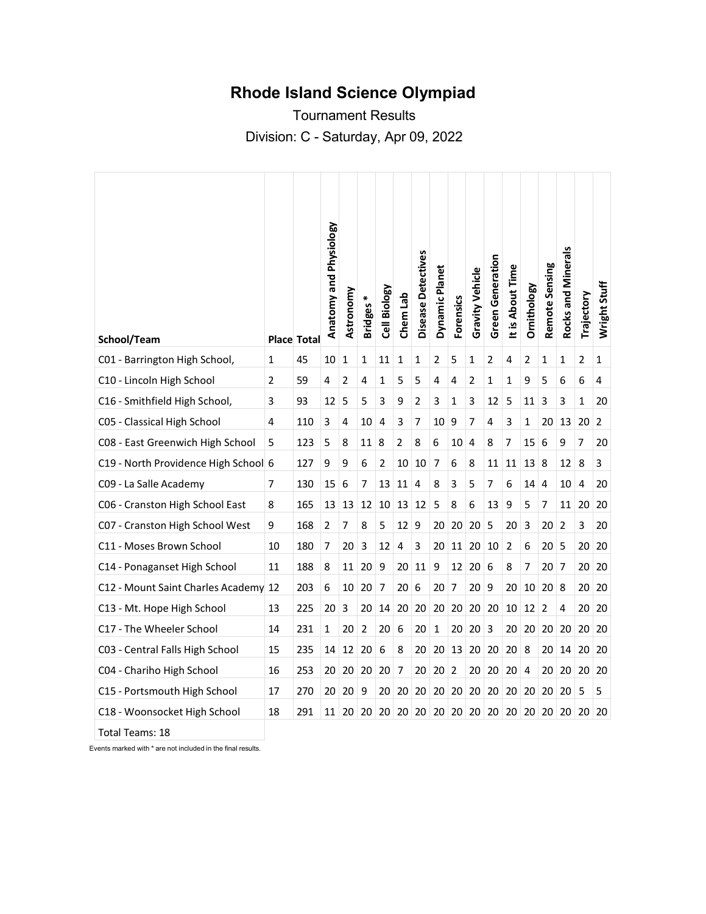## **Rhode Island Science Olympiad**

Tournament Results Division: C - Saturday, Apr 09, 2022

|                                      |    |                    | Anatomy and Physiology | Astronomy      | Bridges* | Cell Biology | Chem Lab                | Disease Detectives | Dynamic Planet | <b>Forensics</b> | <b>Gravity Vehicle</b> | <b>Green Generation</b> | It is About Time | Ornithology     | Remote Sensing | Rocks and Minerals | Trajectory     | Wright Stuff |
|--------------------------------------|----|--------------------|------------------------|----------------|----------|--------------|-------------------------|--------------------|----------------|------------------|------------------------|-------------------------|------------------|-----------------|----------------|--------------------|----------------|--------------|
| School/Team                          |    | <b>Place Total</b> |                        |                |          |              |                         |                    |                |                  |                        |                         |                  |                 |                |                    |                |              |
| C01 - Barrington High School,        | 1  | 45                 | 10                     | 1              | 1        | 11           | 1                       | 1                  | 2              | 5                | 1                      | 2                       | 4                | 2               | 1              | 1                  | 2              | 1            |
| C10 - Lincoln High School            | 2  | 59                 | 4                      | $\overline{2}$ | 4        | 1            | 5                       | 5                  | 4              | 4                | 2                      | 1                       | 1                | 9               | 5              | 6                  | 6              | 4            |
| C16 - Smithfield High School,        | 3  | 93                 | 12                     | 5              | 5        | 3            | 9                       | 2                  | 3              | 1                | 3                      | 12                      | 5                | 11              | 3              | 3                  | 1              | 20           |
| C05 - Classical High School          | 4  | 110                | 3                      | 4              | 10       | 4            | 3                       | 7                  | 10             | 9                | 7                      | 4                       | 3                | 1               | 20             | 13                 | 20             | 2            |
| C08 - East Greenwich High School     | 5  | 123                | 5                      | 8              | 11       | 8            | 2                       | 8                  | 6              | 10               | 4                      | 8                       | 7                | 15              | 6              | 9                  | 7              | 20           |
| C19 - North Providence High School 6 |    | 127                | 9                      | 9              | 6        | 2            | 10                      | 10                 | 7              | 6                | 8                      | 11                      | 11               | 13              | 8              | 12                 | 8              | 3            |
| C09 - La Salle Academy               | 7  | 130                | 15                     | 6              | 7        | 13           | 11                      | 4                  | 8              | 3                | 5                      | 7                       | 6                | 14              | 4              | 10                 | $\overline{4}$ | 20           |
| C06 - Cranston High School East      | 8  | 165                | 13                     | 13             | 12       | 10           | 13                      | 12                 | 5              | 8                | 6                      | 13                      | 9                | 5               | 7              | 11                 | 20             | 20           |
| C07 - Cranston High School West      | 9  | 168                | $\overline{2}$         | $\overline{7}$ | 8        | 5            | 12                      | 9                  | 20             | 20               | 20                     | 5                       | 20               | 3               | 20             | $\overline{2}$     | 3              | 20           |
| C11 - Moses Brown School             | 10 | 180                | 7                      | 20             | 3        | 12           | $\overline{\mathbf{4}}$ | 3                  | 20             | 11               | 20                     | 10                      | $\overline{2}$   | 6               | 20             | 5                  | 20             | 20           |
| C14 - Ponaganset High School         | 11 | 188                | 8                      | 11             | 20       | 9            | 20                      | 11                 | 9              | 12               | 20                     | 6                       | 8                | 7               | 20             | 7                  | 20             | 20           |
| C12 - Mount Saint Charles Academy 12 |    | 203                | 6                      | 10             | 20       | 7            | 20                      | 6                  | 20             | 7                | 20                     | 9                       | 20               | 10              | 20             | 8                  | 20             | 20           |
| C13 - Mt. Hope High School           | 13 | 225                | 20                     | 3              | 20       | 14           | 20                      | 20                 | 20             | 20               | 20                     | 20                      | 10               | 12 <sup>1</sup> | 2              | 4                  | 20             | 20           |
| C17 - The Wheeler School             | 14 | 231                | 1                      | 20             | 2        | 20           | 6                       | 20                 | $\mathbf{1}$   | 20               | 20                     | 3                       | 20               | 20              | 20             | 20                 | 20             | 20           |
| C03 - Central Falls High School      | 15 | 235                | 14                     | 12             | 20       | 6            | 8                       | 20                 | 20             | 13               | 20                     | 20                      | 20               | 8               | 20             | 14                 | 20             | 20           |
| C04 - Chariho High School            | 16 | 253                | 20                     | 20             | 20       | 20           | 7                       | 20                 | 20             | 2                | 20                     | 20                      | 20               | 4               | 20             | 20                 | 20             | 20           |
| C15 - Portsmouth High School         | 17 | 270                | 20                     | 20             | 9        | 20           | 20                      | 20                 | 20             | 20               | 20                     | 20                      | 20               | 20              | 20             | 20                 | 5              | 5            |
| C18 - Woonsocket High School         | 18 | 291                | 11 <sup>1</sup>        | 20             | 20       | 20           | 20                      | 20                 | 20             | 20               | 20                     | 20                      | 20               | 20              | 20             | 20                 | 20             | 20           |
| Total Teams: 18                      |    |                    |                        |                |          |              |                         |                    |                |                  |                        |                         |                  |                 |                |                    |                |              |

Events marked with \* are not included in the final results.